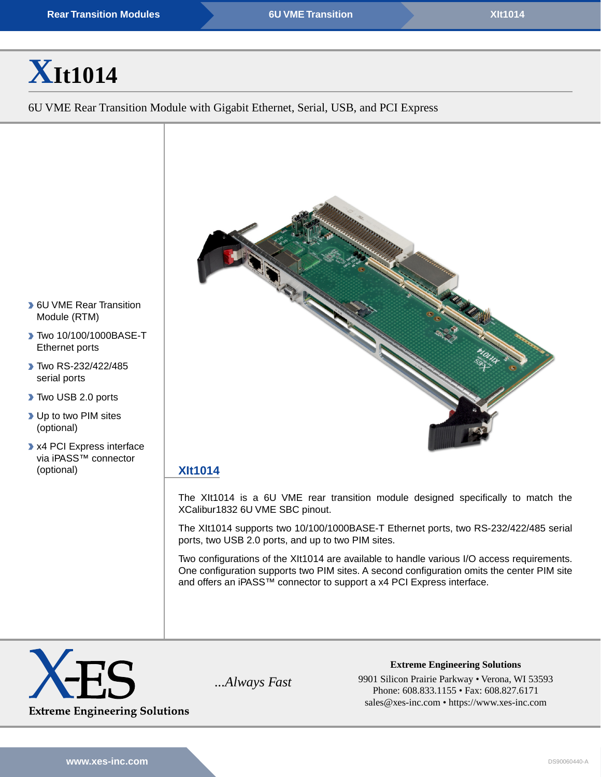# **[X](https://www.xes-inc.com/products/rear-transition-modules-rtms/xit1014/?utm_source=dynamic&utm_medium=referral&utm_term=XIt1014&utm_content=Title&utm_campaign=Datasheet)[It1014](https://www.xes-inc.com/products/rear-transition-modules-rtms/xit1014/?utm_source=dynamic&utm_medium=referral&utm_term=XIt1014&utm_content=Title&utm_campaign=Datasheet)**

6U VME Rear Transition Module with Gigabit Ethernet, Serial, USB, and PCI Express



## **[XIt1014](https://www.xes-inc.com/products/rear-transition-modules-rtms/xit1014/?utm_source=dynamic&utm_medium=referral&utm_term=XIt1014&utm_content=Description%20Title&utm_campaign=Datasheet)**

The XIt1014 is a 6U VME rear transition module designed specifically to match the XCalibur1832 6U VME SBC pinout.

The XIt1014 supports two 10/100/1000BASE-T Ethernet ports, two RS-232/422/485 serial ports, two USB 2.0 ports, and up to two PIM sites.

Two configurations of the XIt1014 are available to handle various I/O access requirements. One configuration supports two PIM sites. A second configuration omits the center PIM site and offers an iPASS™ connector to support a x4 PCI Express interface.



**Extreme Engineering Solutions** *...Always Fast* 9901 Silicon Prairie Parkway • Verona, WI 53593 Phone: 608.833.1155 • Fax: 608.827.6171 sales@xes-inc.com • <https://www.xes-inc.com>

- **6U VME Rear Transition** Module (RTM)
- ▶ Two 10/100/1000BASE-T Ethernet ports
- **Two RS-232/422/485** serial ports
- Two USB 2.0 ports
- ▶ Up to two PIM sites (optional)
- x4 PCI Express interface via iPASS™ connector (optional)